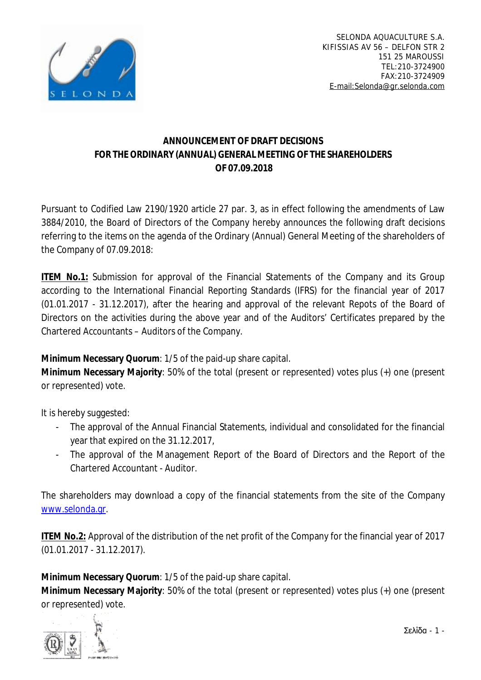

## **ANNOUNCEMENT OF DRAFT DECISIONS FOR THE ORDINARY (ANNUAL) GENERAL MEETING OF THE SHAREHOLDERS OF 07.09.2018**

Pursuant to Codified Law 2190/1920 article 27 par. 3, as in effect following the amendments of Law 3884/2010, the Board of Directors of the Company hereby announces the following draft decisions referring to the items on the agenda of the Ordinary (Annual) General Meeting of the shareholders of the Company of 07.09.2018:

**ITEM No.1:** Submission for approval of the Financial Statements of the Company and its Group according to the International Financial Reporting Standards (IFRS) for the financial year of 2017 (01.01.2017 - 31.12.2017), after the hearing and approval of the relevant Repots of the Board of Directors on the activities during the above year and of the Auditors' Certificates prepared by the Chartered Accountants – Auditors of the Company.

**Minimum Necessary Quorum**: 1/5 of the paid-up share capital.

**Minimum Necessary Majority**: 50% of the total (present or represented) votes plus (+) one (present or represented) vote.

It is hereby suggested:

- The approval of the Annual Financial Statements, individual and consolidated for the financial year that expired on the 31.12.2017,
- The approval of the Management Report of the Board of Directors and the Report of the Chartered Accountant - Auditor.

The shareholders may download a copy of the financial statements from the site of the Company [www.selonda.gr.](http://www.selonda.gr)

**ITEM No.2:** Approval of the distribution of the net profit of the Company for the financial year of 2017 (01.01.2017 - 31.12.2017).

**Minimum Necessary Quorum**: 1/5 of the paid-up share capital.

**Minimum Necessary Majority**: 50% of the total (present or represented) votes plus (+) one (present or represented) vote.

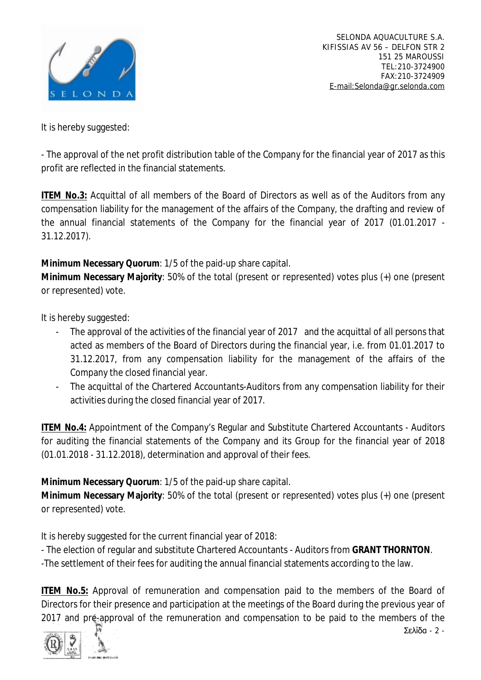

It is hereby suggested:

- The approval of the net profit distribution table of the Company for the financial year of 2017 as this profit are reflected in the financial statements.

**ITEM No.3:** Acquittal of all members of the Board of Directors as well as of the Auditors from any compensation liability for the management of the affairs of the Company, the drafting and review of the annual financial statements of the Company for the financial year of 2017 (01.01.2017 - 31.12.2017).

**Minimum Necessary Quorum**: 1/5 of the paid-up share capital.

**Minimum Necessary Majority**: 50% of the total (present or represented) votes plus (+) one (present or represented) vote.

It is hereby suggested:

- The approval of the activities of the financial year of 2017 and the acquittal of all persons that acted as members of the Board of Directors during the financial year, i.e. from 01.01.2017 to 31.12.2017, from any compensation liability for the management of the affairs of the Company the closed financial year.
- The acquittal of the Chartered Accountants-Auditors from any compensation liability for their activities during the closed financial year of 2017.

**ITEM No.4: Appointment of the Company's Regular and Substitute Chartered Accountants - Auditors** for auditing the financial statements of the Company and its Group for the financial year of 2018 (01.01.2018 - 31.12.2018), determination and approval of their fees.

**Minimum Necessary Quorum**: 1/5 of the paid-up share capital.

**Minimum Necessary Majority**: 50% of the total (present or represented) votes plus (+) one (present or represented) vote.

It is hereby suggested for the current financial year of 2018:

- The election of regular and substitute Chartered Accountants - Auditors from **GRANT THORNTON**.

-The settlement of their fees for auditing the annual financial statements according to the law.

**ITEM No.5:** Approval of remuneration and compensation paid to the members of the Board of Directors for their presence and participation at the meetings of the Board during the previous year of 2017 and pre-approval of the remuneration and compensation to be paid to the members of the

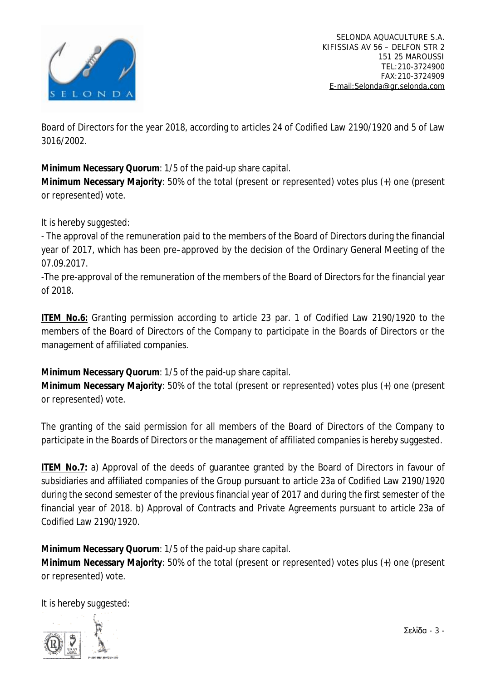

Board of Directors for the year 2018, according to articles 24 of Codified Law 2190/1920 and 5 of Law 3016/2002.

**Minimum Necessary Quorum**: 1/5 of the paid-up share capital.

**Minimum Necessary Majority**: 50% of the total (present or represented) votes plus (+) one (present or represented) vote.

It is hereby suggested:

- The approval of the remuneration paid to the members of the Board of Directors during the financial year of 2017, which has been pre–approved by the decision of the Ordinary General Meeting of the 07.09.2017.

-The pre-approval of the remuneration of the members of the Board of Directors for the financial year of 2018.

**ITEM No.6:** Granting permission according to article 23 par. 1 of Codified Law 2190/1920 to the members of the Board of Directors of the Company to participate in the Boards of Directors or the management of affiliated companies.

**Minimum Necessary Quorum**: 1/5 of the paid-up share capital.

**Minimum Necessary Majority**: 50% of the total (present or represented) votes plus (+) one (present or represented) vote.

The granting of the said permission for all members of the Board of Directors of the Company to participate in the Boards of Directors or the management of affiliated companies is hereby suggested.

**ITEM No.7:** a) Approval of the deeds of guarantee granted by the Board of Directors in favour of subsidiaries and affiliated companies of the Group pursuant to article 23a of Codified Law 2190/1920 during the second semester of the previous financial year of 2017 and during the first semester of the financial year of 2018. b) Approval of Contracts and Private Agreements pursuant to article 23a of Codified Law 2190/1920.

**Minimum Necessary Quorum**: 1/5 of the paid-up share capital.

**Minimum Necessary Majority**: 50% of the total (present or represented) votes plus (+) one (present or represented) vote.

It is hereby suggested: